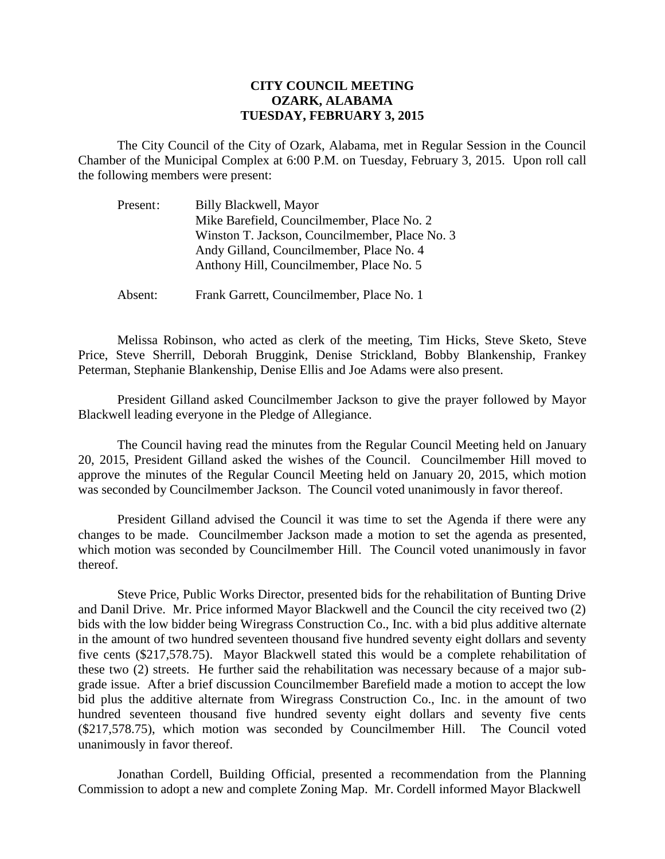## **CITY COUNCIL MEETING OZARK, ALABAMA TUESDAY, FEBRUARY 3, 2015**

The City Council of the City of Ozark, Alabama, met in Regular Session in the Council Chamber of the Municipal Complex at 6:00 P.M. on Tuesday, February 3, 2015. Upon roll call the following members were present:

| Present: | Billy Blackwell, Mayor                         |
|----------|------------------------------------------------|
|          | Mike Barefield, Councilmember, Place No. 2     |
|          | Winston T. Jackson, Councilmember, Place No. 3 |
|          | Andy Gilland, Councilmember, Place No. 4       |
|          | Anthony Hill, Councilmember, Place No. 5       |
|          |                                                |

Absent: Frank Garrett, Councilmember, Place No. 1

Melissa Robinson, who acted as clerk of the meeting, Tim Hicks, Steve Sketo, Steve Price, Steve Sherrill, Deborah Bruggink, Denise Strickland, Bobby Blankenship, Frankey Peterman, Stephanie Blankenship, Denise Ellis and Joe Adams were also present.

President Gilland asked Councilmember Jackson to give the prayer followed by Mayor Blackwell leading everyone in the Pledge of Allegiance.

The Council having read the minutes from the Regular Council Meeting held on January 20, 2015, President Gilland asked the wishes of the Council. Councilmember Hill moved to approve the minutes of the Regular Council Meeting held on January 20, 2015, which motion was seconded by Councilmember Jackson. The Council voted unanimously in favor thereof.

President Gilland advised the Council it was time to set the Agenda if there were any changes to be made. Councilmember Jackson made a motion to set the agenda as presented, which motion was seconded by Councilmember Hill. The Council voted unanimously in favor thereof.

Steve Price, Public Works Director, presented bids for the rehabilitation of Bunting Drive and Danil Drive. Mr. Price informed Mayor Blackwell and the Council the city received two (2) bids with the low bidder being Wiregrass Construction Co., Inc. with a bid plus additive alternate in the amount of two hundred seventeen thousand five hundred seventy eight dollars and seventy five cents (\$217,578.75). Mayor Blackwell stated this would be a complete rehabilitation of these two (2) streets. He further said the rehabilitation was necessary because of a major subgrade issue. After a brief discussion Councilmember Barefield made a motion to accept the low bid plus the additive alternate from Wiregrass Construction Co., Inc. in the amount of two hundred seventeen thousand five hundred seventy eight dollars and seventy five cents (\$217,578.75), which motion was seconded by Councilmember Hill. The Council voted unanimously in favor thereof.

Jonathan Cordell, Building Official, presented a recommendation from the Planning Commission to adopt a new and complete Zoning Map. Mr. Cordell informed Mayor Blackwell